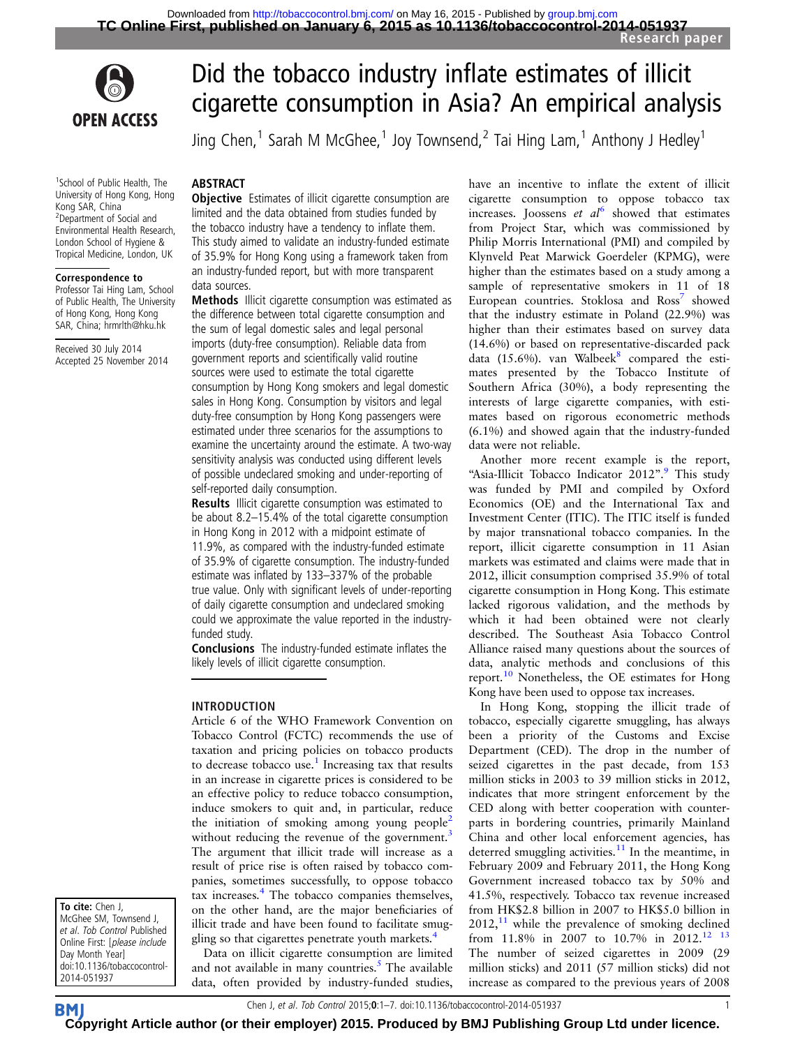



1 School of Public Health, The University of Hong Kong, Hong Kong SAR, China <sup>2</sup>Department of Social and Environmental Health Research, London School of Hygiene & Tropical Medicine, London, UK

#### Correspondence to

Professor Tai Hing Lam, School of Public Health, The University of Hong Kong, Hong Kong SAR, China; hrmrlth@hku.hk

Received 30 July 2014 Accepted 25 November 2014 Did the tobacco industry inflate estimates of illicit cigarette consumption in Asia? An empirical analysis

Jing Chen,<sup>1</sup> Sarah M McGhee,<sup>1</sup> Joy Townsend,<sup>2</sup> Tai Hing Lam,<sup>1</sup> Anthony J Hedley<sup>1</sup>

# ABSTRACT

**Objective** Estimates of illicit cigarette consumption are limited and the data obtained from studies funded by the tobacco industry have a tendency to inflate them. This study aimed to validate an industry-funded estimate of 35.9% for Hong Kong using a framework taken from an industry-funded report, but with more transparent data sources.

Methods Illicit cigarette consumption was estimated as the difference between total cigarette consumption and the sum of legal domestic sales and legal personal imports (duty-free consumption). Reliable data from government reports and scientifically valid routine sources were used to estimate the total cigarette consumption by Hong Kong smokers and legal domestic sales in Hong Kong. Consumption by visitors and legal duty-free consumption by Hong Kong passengers were estimated under three scenarios for the assumptions to examine the uncertainty around the estimate. A two-way sensitivity analysis was conducted using different levels of possible undeclared smoking and under-reporting of self-reported daily consumption.

Results Illicit cigarette consumption was estimated to be about 8.2–15.4% of the total cigarette consumption in Hong Kong in 2012 with a midpoint estimate of 11.9%, as compared with the industry-funded estimate of 35.9% of cigarette consumption. The industry-funded estimate was inflated by 133–337% of the probable true value. Only with significant levels of under-reporting of daily cigarette consumption and undeclared smoking could we approximate the value reported in the industryfunded study.

Conclusions The industry-funded estimate inflates the likely levels of illicit cigarette consumption.

# INTRODUCTION

Article 6 of the WHO Framework Convention on Tobacco Control (FCTC) recommends the use of taxation and pricing policies on tobacco products to decrease tobacco use.<sup>1</sup> Increasing tax that results in an increase in cigarette prices is considered to be an effective policy to reduce tobacco consumption, induce smokers to quit and, in particular, reduce the initiation of smoking among young people<sup>[2](#page-5-0)</sup> without reducing the revenue of the government.<sup>[3](#page-5-0)</sup> The argument that illicit trade will increase as a result of price rise is often raised by tobacco companies, sometimes successfully, to oppose tobacco tax increases.<sup>[4](#page-5-0)</sup> The tobacco companies themselves, on the other hand, are the major beneficiaries of illicit trade and have been found to facilitate smug-gling so that cigarettes penetrate youth markets.<sup>[4](#page-5-0)</sup>

Data on illicit cigarette consumption are limited and not available in many countries. $5$  The available data, often provided by industry-funded studies,

have an incentive to inflate the extent of illicit cigarette consumption to oppose tobacco tax increases. Joossens et  $al^6$  $al^6$  showed that estimates from Project Star, which was commissioned by Philip Morris International (PMI) and compiled by Klynveld Peat Marwick Goerdeler (KPMG), were higher than the estimates based on a study among a sample of representative smokers in 11 of 18 European countries. Stoklosa and Ross<sup>7</sup> showed that the industry estimate in Poland (22.9%) was higher than their estimates based on survey data (14.6%) or based on representative-discarded pack data (15.6%). van Walbeek<sup>8</sup> compared the estimates presented by the Tobacco Institute of Southern Africa (30%), a body representing the interests of large cigarette companies, with estimates based on rigorous econometric methods (6.1%) and showed again that the industry-funded data were not reliable.

Another more recent example is the report, "Asia-Illicit Tobacco Indicator 2012".<sup>[9](#page-5-0)</sup> This study was funded by PMI and compiled by Oxford Economics (OE) and the International Tax and Investment Center (ITIC). The ITIC itself is funded by major transnational tobacco companies. In the report, illicit cigarette consumption in 11 Asian markets was estimated and claims were made that in 2012, illicit consumption comprised 35.9% of total cigarette consumption in Hong Kong. This estimate lacked rigorous validation, and the methods by which it had been obtained were not clearly described. The Southeast Asia Tobacco Control Alliance raised many questions about the sources of data, analytic methods and conclusions of this report.[10](#page-5-0) Nonetheless, the OE estimates for Hong Kong have been used to oppose tax increases.

In Hong Kong, stopping the illicit trade of tobacco, especially cigarette smuggling, has always been a priority of the Customs and Excise Department (CED). The drop in the number of seized cigarettes in the past decade, from 153 million sticks in 2003 to 39 million sticks in 2012, indicates that more stringent enforcement by the CED along with better cooperation with counterparts in bordering countries, primarily Mainland China and other local enforcement agencies, has deterred smuggling activities.<sup>[11](#page-5-0)</sup> In the meantime, in February 2009 and February 2011, the Hong Kong Government increased tobacco tax by 50% and 41.5%, respectively. Tobacco tax revenue increased from HK\$2.8 billion in 2007 to HK\$5.0 billion in  $2012$ , <sup>[11](#page-5-0)</sup> while the prevalence of smoking declined from 11.8% in 2007 to 10.7% in 2012.<sup>12</sup> <sup>13</sup> The number of seized cigarettes in 2009 (29 million sticks) and 2011 (57 million sticks) did not increase as compared to the previous years of 2008

To cite: Chen J, McGhee SM, Townsend J, et al. Tob Control Published Online First: [please include Day Month Year] doi:10.1136/tobaccocontrol-2014-051937

Chen J, et al. Tob Control 2015;0:1–7. doi:10.1136/tobaccocontrol-2014-051937 1

**BM [Cop](http://tobaccocontrol.bmj.com)yright Article author (or their employer) 2015. Produced by BMJ Publishing Group Ltd under licence.**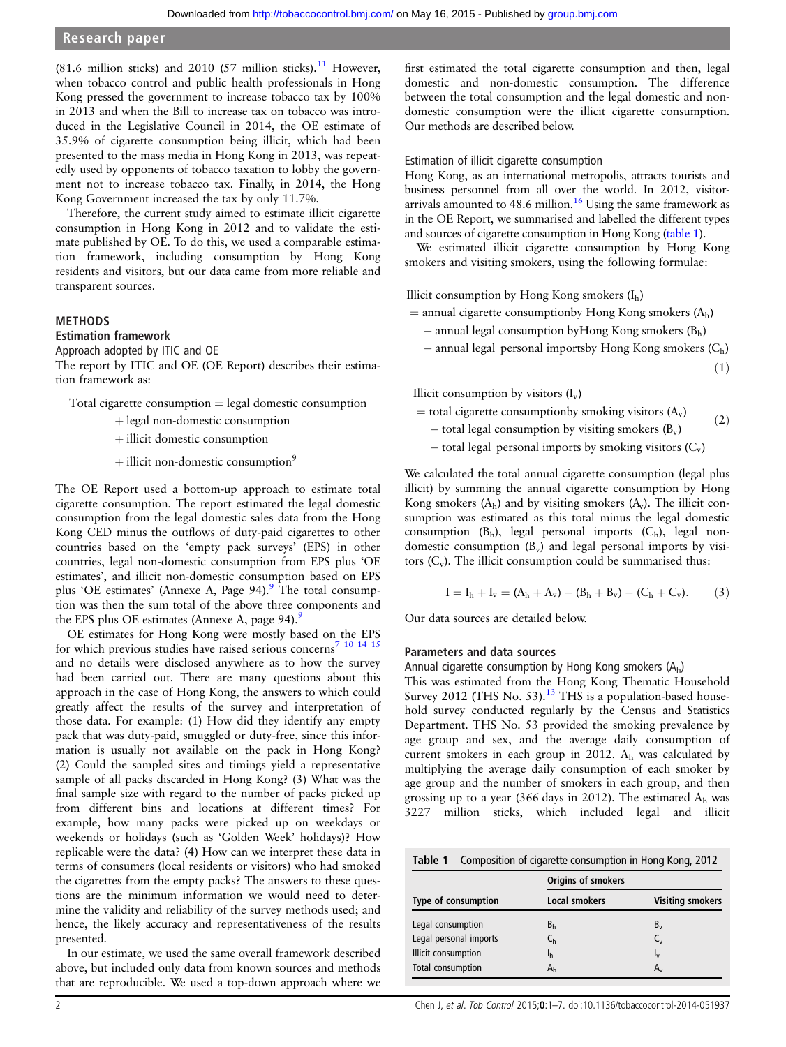# Research paper

(81.6 million sticks) and 2010 (57 million sticks).<sup>[11](#page-5-0)</sup> However, when tobacco control and public health professionals in Hong Kong pressed the government to increase tobacco tax by 100% in 2013 and when the Bill to increase tax on tobacco was introduced in the Legislative Council in 2014, the OE estimate of 35.9% of cigarette consumption being illicit, which had been presented to the mass media in Hong Kong in 2013, was repeatedly used by opponents of tobacco taxation to lobby the government not to increase tobacco tax. Finally, in 2014, the Hong Kong Government increased the tax by only 11.7%.

Therefore, the current study aimed to estimate illicit cigarette consumption in Hong Kong in 2012 and to validate the estimate published by OE. To do this, we used a comparable estimation framework, including consumption by Hong Kong residents and visitors, but our data came from more reliable and transparent sources.

## METHODS

# Estimation framework

Approach adopted by ITIC and OE

The report by ITIC and OE (OE Report) describes their estimation framework as:

Total cigarette consumption  $=$  legal domestic consumption

- þ legal non-domestic consumption
- þ illicit domestic consumption
- $+$  illicit non-domestic consumption<sup>9</sup>

The OE Report used a bottom-up approach to estimate total cigarette consumption. The report estimated the legal domestic consumption from the legal domestic sales data from the Hong Kong CED minus the outflows of duty-paid cigarettes to other countries based on the 'empty pack surveys' (EPS) in other countries, legal non-domestic consumption from EPS plus 'OE estimates', and illicit non-domestic consumption based on EPS plus 'OE estimates' (Annexe A, Page 94).<sup>9</sup> The total consumption was then the sum total of the above three components and the EPS plus OE estimates (Annexe A, page  $94$  $94$ ).<sup>9</sup>

OE estimates for Hong Kong were mostly based on the EPS for which previous studies have raised serious concerns<sup>[7 10 14 15](#page-5-0)</sup> and no details were disclosed anywhere as to how the survey had been carried out. There are many questions about this approach in the case of Hong Kong, the answers to which could greatly affect the results of the survey and interpretation of those data. For example: (1) How did they identify any empty pack that was duty-paid, smuggled or duty-free, since this information is usually not available on the pack in Hong Kong? (2) Could the sampled sites and timings yield a representative sample of all packs discarded in Hong Kong? (3) What was the final sample size with regard to the number of packs picked up from different bins and locations at different times? For example, how many packs were picked up on weekdays or weekends or holidays (such as 'Golden Week' holidays)? How replicable were the data? (4) How can we interpret these data in terms of consumers (local residents or visitors) who had smoked the cigarettes from the empty packs? The answers to these questions are the minimum information we would need to determine the validity and reliability of the survey methods used; and hence, the likely accuracy and representativeness of the results presented.

In our estimate, we used the same overall framework described above, but included only data from known sources and methods that are reproducible. We used a top-down approach where we

first estimated the total cigarette consumption and then, legal domestic and non-domestic consumption. The difference between the total consumption and the legal domestic and nondomestic consumption were the illicit cigarette consumption. Our methods are described below.

# Estimation of illicit cigarette consumption

Hong Kong, as an international metropolis, attracts tourists and business personnel from all over the world. In 2012, visitorarrivals amounted to 48.6 million.<sup>16</sup> Using the same framework as in the OE Report, we summarised and labelled the different types and sources of cigarette consumption in Hong Kong (table 1).

We estimated illicit cigarette consumption by Hong Kong smokers and visiting smokers, using the following formulae:

# Illicit consumption by Hong Kong smokers  $(I_h)$

- $=$  annual cigarette consumptionby Hong Kong smokers (A<sub>h</sub>)
	- $-$  annual legal consumption by Hong Kong smokers ( $B<sub>h</sub>$ )
	- $-$  annual legal personal importsby Hong Kong smokers  $(C_h)$

$$
\left( 1\right)
$$

 $(2)$ 

Illicit consumption by visitors  $(I_v)$ 

- $=$  total cigarette consumptionby smoking visitors (A<sub>v</sub>)
- $-$  total legal consumption by visiting smokers (B<sub>v</sub>)
	- $-$  total legal personal imports by smoking visitors  $(C_v)$

We calculated the total annual cigarette consumption (legal plus illicit) by summing the annual cigarette consumption by Hong Kong smokers  $(A_h)$  and by visiting smokers  $(A_v)$ . The illicit consumption was estimated as this total minus the legal domestic consumption  $(B_h)$ , legal personal imports  $(C_h)$ , legal nondomestic consumption  $(B_v)$  and legal personal imports by visitors  $(C_v)$ . The illicit consumption could be summarised thus:

$$
I=I_h+I_v=(A_h+A_v)-(B_h+B_v)-(C_h+C_v).\qquad \ (3)
$$

Our data sources are detailed below.

## Parameters and data sources

Annual cigarette consumption by Hong Kong smokers  $(A_h)$ 

This was estimated from the Hong Kong Thematic Household Survey 2012 (THS No. 53).<sup>[13](#page-5-0)</sup> THS is a population-based household survey conducted regularly by the Census and Statistics Department. THS No. 53 provided the smoking prevalence by age group and sex, and the average daily consumption of current smokers in each group in 2012. Ah was calculated by multiplying the average daily consumption of each smoker by age group and the number of smokers in each group, and then grossing up to a year (366 days in 2012). The estimated  $A_h$  was 3227 million sticks, which included legal and illicit

| Table 1 |  | Composition of cigarette consumption in Hong Kong, 2012 |
|---------|--|---------------------------------------------------------|
|         |  |                                                         |

|                        | <b>Origins of smokers</b> |                         |  |
|------------------------|---------------------------|-------------------------|--|
| Type of consumption    | <b>Local smokers</b>      | <b>Visiting smokers</b> |  |
| Legal consumption      | Βh                        | $B_v$                   |  |
| Legal personal imports | C <sub>h</sub>            | $C_{v}$                 |  |
| Illicit consumption    | Ιh                        | l,                      |  |
| Total consumption      | Ah                        | А.,                     |  |

2 Chen J, et al. Tob Control 2015;0:1–7. doi:10.1136/tobaccocontrol-2014-051937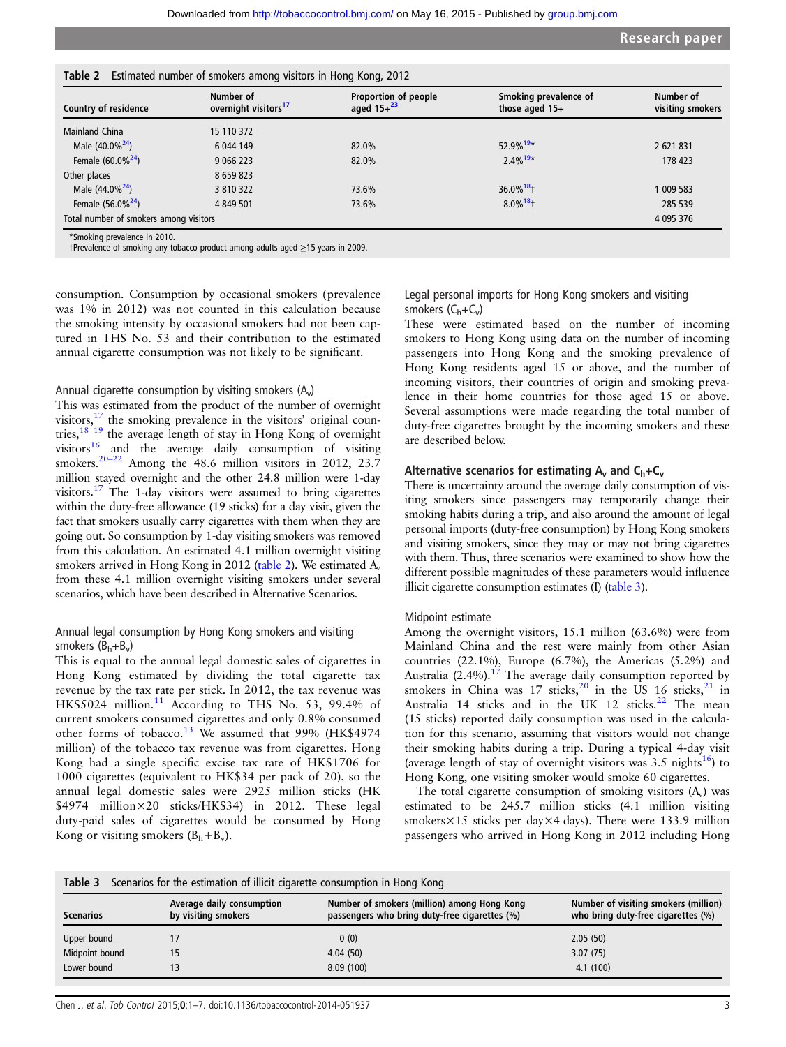| Country of residence                   | Number of<br>overnight visitors <sup>17</sup> | Proportion of people<br>aged $15+^{23}$ | Smoking prevalence of<br>those aged $15+$ | Number of<br>visiting smokers |
|----------------------------------------|-----------------------------------------------|-----------------------------------------|-------------------------------------------|-------------------------------|
| <b>Mainland China</b>                  | 15 110 372                                    |                                         |                                           |                               |
| Male (40.0% <sup>24</sup> )            | 6 044 149                                     | 82.0%                                   | $52.9\%$ <sup>19*</sup>                   | 2 621 831                     |
| Female $(60.0\%^{24})$                 | 9 0 6 223                                     | 82.0%                                   | $2.4\%$ <sup>19*</sup>                    | 178 423                       |
| Other places                           | 8 6 5 9 8 2 3                                 |                                         |                                           |                               |
| Male (44.0% <sup>24</sup> )            | 3 810 322                                     | 73.6%                                   | $36.0\%$ <sup>18</sup> t                  | 1 009 583                     |
| Female $(56.0\%^{24})$                 | 4 849 501                                     | 73.6%                                   | $8.0\%$ <sup>18</sup> t                   | 285 539                       |
| Total number of smokers among visitors |                                               |                                         |                                           | 4 0 9 5 3 7 6                 |

Table 2 Estimated number of smokers among visitors in Hong Kong, 2012

Smoking prevalence in 2010.

†Prevalence of smoking any tobacco product among adults aged ≥15 years in 2009.

consumption. Consumption by occasional smokers (prevalence was 1% in 2012) was not counted in this calculation because the smoking intensity by occasional smokers had not been captured in THS No. 53 and their contribution to the estimated annual cigarette consumption was not likely to be significant.

# Annual cigarette consumption by visiting smokers  $(A<sub>v</sub>)$

This was estimated from the product of the number of overnight visitors, $17$  the smoking prevalence in the visitors' original countries,<sup>18 19</sup> the average length of stay in Hong Kong of overnight visitors<sup>16</sup> and the average daily consumption of visiting smokers.<sup>[20](#page-5-0)–22</sup> Among the 48.6 million visitors in 2012, 23.7 million stayed overnight and the other 24.8 million were 1-day visitors.[17](#page-5-0) The 1-day visitors were assumed to bring cigarettes within the duty-free allowance (19 sticks) for a day visit, given the fact that smokers usually carry cigarettes with them when they are going out. So consumption by 1-day visiting smokers was removed from this calculation. An estimated 4.1 million overnight visiting smokers arrived in Hong Kong in 2012 (table 2). We estimated  $A_v$ from these 4.1 million overnight visiting smokers under several scenarios, which have been described in Alternative Scenarios.

# Annual legal consumption by Hong Kong smokers and visiting smokers  $(B_h+B_v)$

This is equal to the annual legal domestic sales of cigarettes in Hong Kong estimated by dividing the total cigarette tax revenue by the tax rate per stick. In 2012, the tax revenue was HK\$5024 million.[11](#page-5-0) According to THS No. 53, 99.4% of current smokers consumed cigarettes and only 0.8% consumed other forms of tobacco.<sup>[13](#page-5-0)</sup> We assumed that 99% (HK\$4974 million) of the tobacco tax revenue was from cigarettes. Hong Kong had a single specific excise tax rate of HK\$1706 for 1000 cigarettes (equivalent to HK\$34 per pack of 20), so the annual legal domestic sales were 2925 million sticks (HK \$4974 million×20 sticks/HK\$34) in 2012. These legal duty-paid sales of cigarettes would be consumed by Hong Kong or visiting smokers  $(B_h + B_v)$ .

# Legal personal imports for Hong Kong smokers and visiting smokers  $(C_h+C_v)$

These were estimated based on the number of incoming smokers to Hong Kong using data on the number of incoming passengers into Hong Kong and the smoking prevalence of Hong Kong residents aged 15 or above, and the number of incoming visitors, their countries of origin and smoking prevalence in their home countries for those aged 15 or above. Several assumptions were made regarding the total number of duty-free cigarettes brought by the incoming smokers and these are described below.

# Alternative scenarios for estimating  $A_v$  and  $C_h+C_v$

There is uncertainty around the average daily consumption of visiting smokers since passengers may temporarily change their smoking habits during a trip, and also around the amount of legal personal imports (duty-free consumption) by Hong Kong smokers and visiting smokers, since they may or may not bring cigarettes with them. Thus, three scenarios were examined to show how the different possible magnitudes of these parameters would influence illicit cigarette consumption estimates (I) (table 3).

#### Midpoint estimate

Among the overnight visitors, 15.1 million (63.6%) were from Mainland China and the rest were mainly from other Asian countries (22.1%), Europe (6.7%), the Americas (5.2%) and Australia  $(2.4\%)$ .<sup>[17](#page-5-0)</sup> The average daily consumption reported by smokers in China was 17 sticks,<sup>[20](#page-5-0)</sup> in the US 16 sticks,<sup>[21](#page-6-0)</sup> in Australia 14 sticks and in the UK 12 sticks. $22$  The mean (15 sticks) reported daily consumption was used in the calculation for this scenario, assuming that visitors would not change their smoking habits during a trip. During a typical 4-day visit (average length of stay of overnight visitors was  $3.5 \text{ nights}^{16}$  $3.5 \text{ nights}^{16}$  $3.5 \text{ nights}^{16}$ ) to Hong Kong, one visiting smoker would smoke 60 cigarettes.

The total cigarette consumption of smoking visitors  $(A_v)$  was estimated to be 245.7 million sticks (4.1 million visiting smokers×15 sticks per day×4 days). There were 133.9 million passengers who arrived in Hong Kong in 2012 including Hong

| Scenarios for the estimation of illicit cigarette consumption in Hong Kong<br>Table 3 |                                                  |                                                                                              |                                                                            |
|---------------------------------------------------------------------------------------|--------------------------------------------------|----------------------------------------------------------------------------------------------|----------------------------------------------------------------------------|
| <b>Scenarios</b>                                                                      | Average daily consumption<br>by visiting smokers | Number of smokers (million) among Hong Kong<br>passengers who bring duty-free cigarettes (%) | Number of visiting smokers (million)<br>who bring duty-free cigarettes (%) |
| Upper bound                                                                           |                                                  | 0(0)                                                                                         | 2.05(50)                                                                   |
| Midpoint bound                                                                        | 15                                               | 4.04(50)                                                                                     | 3.07(75)                                                                   |
| Lower bound                                                                           |                                                  | 8.09(100)                                                                                    | 4.1(100)                                                                   |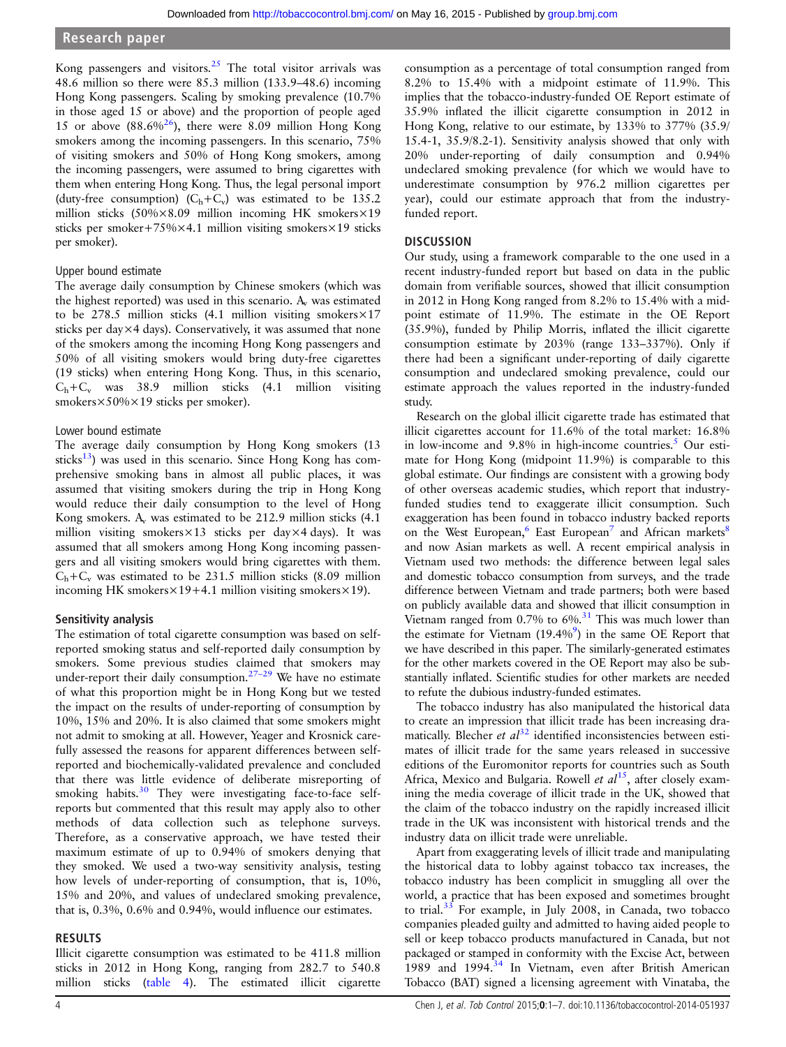# Research paper

Kong passengers and visitors.<sup>[25](#page-6-0)</sup> The total visitor arrivals was 48.6 million so there were 85.3 million (133.9–48.6) incoming Hong Kong passengers. Scaling by smoking prevalence (10.7% in those aged 15 or above) and the proportion of people aged 15 or above  $(88.6\%^{26})$ , there were 8.09 million Hong Kong smokers among the incoming passengers. In this scenario, 75% of visiting smokers and 50% of Hong Kong smokers, among the incoming passengers, were assumed to bring cigarettes with them when entering Hong Kong. Thus, the legal personal import (duty-free consumption)  $(C_h+C_v)$  was estimated to be 135.2 million sticks (50%×8.09 million incoming HK smokers×19 sticks per smoker+75%×4.1 million visiting smokers×19 sticks per smoker).

#### Upper bound estimate

The average daily consumption by Chinese smokers (which was the highest reported) was used in this scenario.  $A<sub>v</sub>$  was estimated to be 278.5 million sticks (4.1 million visiting smokers×17 sticks per day×4 days). Conservatively, it was assumed that none of the smokers among the incoming Hong Kong passengers and 50% of all visiting smokers would bring duty-free cigarettes (19 sticks) when entering Hong Kong. Thus, in this scenario,  $C_h + C_v$  was 38.9 million sticks (4.1 million visiting smokers×50%×19 sticks per smoker).

# Lower bound estimate

The average daily consumption by Hong Kong smokers (13 sticks<sup>13</sup>) was used in this scenario. Since Hong Kong has comprehensive smoking bans in almost all public places, it was assumed that visiting smokers during the trip in Hong Kong would reduce their daily consumption to the level of Hong Kong smokers.  $A_v$  was estimated to be 212.9 million sticks (4.1) million visiting smokers×13 sticks per day×4 days). It was assumed that all smokers among Hong Kong incoming passengers and all visiting smokers would bring cigarettes with them.  $C_h + C_v$  was estimated to be 231.5 million sticks (8.09 million incoming HK smokers $\times$ 19+4.1 million visiting smokers $\times$ 19).

# Sensitivity analysis

The estimation of total cigarette consumption was based on selfreported smoking status and self-reported daily consumption by smokers. Some previous studies claimed that smokers may under-report their daily consumption.<sup>27-29</sup> We have no estimate of what this proportion might be in Hong Kong but we tested the impact on the results of under-reporting of consumption by 10%, 15% and 20%. It is also claimed that some smokers might not admit to smoking at all. However, Yeager and Krosnick carefully assessed the reasons for apparent differences between selfreported and biochemically-validated prevalence and concluded that there was little evidence of deliberate misreporting of smoking habits.<sup>[30](#page-6-0)</sup> They were investigating face-to-face selfreports but commented that this result may apply also to other methods of data collection such as telephone surveys. Therefore, as a conservative approach, we have tested their maximum estimate of up to 0.94% of smokers denying that they smoked. We used a two-way sensitivity analysis, testing how levels of under-reporting of consumption, that is, 10%, 15% and 20%, and values of undeclared smoking prevalence, that is, 0.3%, 0.6% and 0.94%, would influence our estimates.

# RESULTS

Illicit cigarette consumption was estimated to be 411.8 million sticks in 2012 in Hong Kong, ranging from 282.7 to 540.8 million sticks [\(table 4\)](#page-4-0). The estimated illicit cigarette

consumption as a percentage of total consumption ranged from 8.2% to 15.4% with a midpoint estimate of 11.9%. This implies that the tobacco-industry-funded OE Report estimate of 35.9% inflated the illicit cigarette consumption in 2012 in Hong Kong, relative to our estimate, by 133% to 377% (35.9/ 15.4-1, 35.9/8.2-1). Sensitivity analysis showed that only with 20% under-reporting of daily consumption and 0.94% undeclared smoking prevalence (for which we would have to underestimate consumption by 976.2 million cigarettes per year), could our estimate approach that from the industryfunded report.

# **DISCUSSION**

Our study, using a framework comparable to the one used in a recent industry-funded report but based on data in the public domain from verifiable sources, showed that illicit consumption in 2012 in Hong Kong ranged from 8.2% to 15.4% with a midpoint estimate of 11.9%. The estimate in the OE Report (35.9%), funded by Philip Morris, inflated the illicit cigarette consumption estimate by 203% (range 133–337%). Only if there had been a significant under-reporting of daily cigarette consumption and undeclared smoking prevalence, could our estimate approach the values reported in the industry-funded study.

Research on the global illicit cigarette trade has estimated that illicit cigarettes account for 11.6% of the total market: 16.8% in low-income and  $9.8\%$  in high-income countries.<sup>5</sup> Our estimate for Hong Kong (midpoint 11.9%) is comparable to this global estimate. Our findings are consistent with a growing body of other overseas academic studies, which report that industryfunded studies tend to exaggerate illicit consumption. Such exaggeration has been found in tobacco industry backed reports on the West European,<sup>[6](#page-5-0)</sup> East European<sup>[7](#page-5-0)</sup> and African markets<sup>[8](#page-5-0)</sup> and now Asian markets as well. A recent empirical analysis in Vietnam used two methods: the difference between legal sales and domestic tobacco consumption from surveys, and the trade difference between Vietnam and trade partners; both were based on publicly available data and showed that illicit consumption in Vietnam ranged from 0.7% to 6%.<sup>31</sup> This was much lower than the estimate for Vietnam (19.4%<sup>9</sup>) in the same OE Report that we have described in this paper. The similarly-generated estimates for the other markets covered in the OE Report may also be substantially inflated. Scientific studies for other markets are needed to refute the dubious industry-funded estimates.

The tobacco industry has also manipulated the historical data to create an impression that illicit trade has been increasing dramatically. Blecher et  $al^{32}$  $al^{32}$  $al^{32}$  identified inconsistencies between estimates of illicit trade for the same years released in successive editions of the Euromonitor reports for countries such as South Africa, Mexico and Bulgaria. Rowell et  $al^{15}$  $al^{15}$  $al^{15}$ , after closely examining the media coverage of illicit trade in the UK, showed that the claim of the tobacco industry on the rapidly increased illicit trade in the UK was inconsistent with historical trends and the industry data on illicit trade were unreliable.

Apart from exaggerating levels of illicit trade and manipulating the historical data to lobby against tobacco tax increases, the tobacco industry has been complicit in smuggling all over the world, a practice that has been exposed and sometimes brought to trial.<sup>[33](#page-6-0)</sup> For example, in July 2008, in Canada, two tobacco companies pleaded guilty and admitted to having aided people to sell or keep tobacco products manufactured in Canada, but not packaged or stamped in conformity with the Excise Act, between 1989 and 1994.<sup>[34](#page-6-0)</sup> In Vietnam, even after British American Tobacco (BAT) signed a licensing agreement with Vinataba, the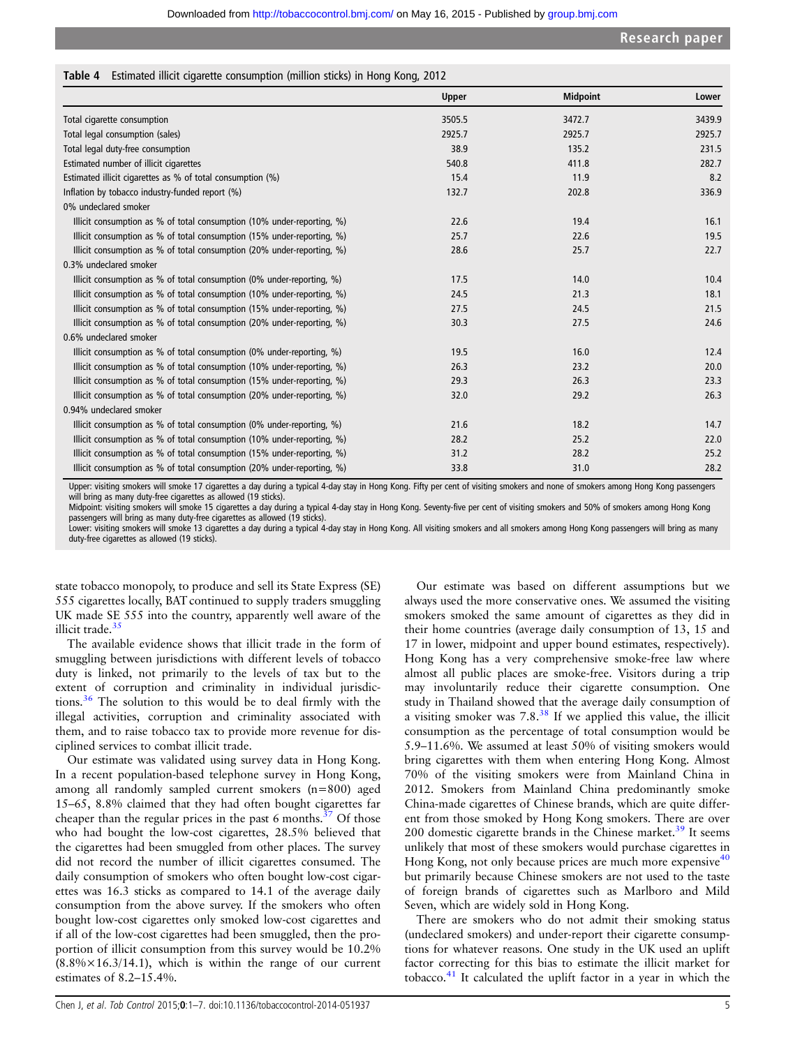# <span id="page-4-0"></span>Table 4 Estimated illicit cigarette consumption (million sticks) in Hong Kong, 2012

|                                                                        | <b>Upper</b> | <b>Midpoint</b> | Lower  |
|------------------------------------------------------------------------|--------------|-----------------|--------|
| Total cigarette consumption                                            | 3505.5       | 3472.7          | 3439.9 |
| Total legal consumption (sales)                                        | 2925.7       | 2925.7          | 2925.7 |
| Total legal duty-free consumption                                      | 38.9         | 135.2           | 231.5  |
| Estimated number of illicit cigarettes                                 | 540.8        | 411.8           | 282.7  |
| Estimated illicit cigarettes as % of total consumption (%)             | 15.4         | 11.9            | 8.2    |
| Inflation by tobacco industry-funded report (%)                        | 132.7        | 202.8           | 336.9  |
| 0% undeclared smoker                                                   |              |                 |        |
| Illicit consumption as % of total consumption (10% under-reporting, %) | 22.6         | 19.4            | 16.1   |
| Illicit consumption as % of total consumption (15% under-reporting, %) | 25.7         | 22.6            | 19.5   |
| Illicit consumption as % of total consumption (20% under-reporting, %) | 28.6         | 25.7            | 22.7   |
| 0.3% undeclared smoker                                                 |              |                 |        |
| Illicit consumption as % of total consumption (0% under-reporting, %)  | 17.5         | 14.0            | 10.4   |
| Illicit consumption as % of total consumption (10% under-reporting, %) | 24.5         | 21.3            | 18.1   |
| Illicit consumption as % of total consumption (15% under-reporting, %) | 27.5         | 24.5            | 21.5   |
| Illicit consumption as % of total consumption (20% under-reporting, %) | 30.3         | 27.5            | 24.6   |
| 0.6% undeclared smoker                                                 |              |                 |        |
| Illicit consumption as % of total consumption (0% under-reporting, %)  | 19.5         | 16.0            | 12.4   |
| Illicit consumption as % of total consumption (10% under-reporting, %) | 26.3         | 23.2            | 20.0   |
| Illicit consumption as % of total consumption (15% under-reporting, %) | 29.3         | 26.3            | 23.3   |
| Illicit consumption as % of total consumption (20% under-reporting, %) | 32.0         | 29.2            | 26.3   |
| 0.94% undeclared smoker                                                |              |                 |        |
| Illicit consumption as % of total consumption (0% under-reporting, %)  | 21.6         | 18.2            | 14.7   |
| Illicit consumption as % of total consumption (10% under-reporting, %) | 28.2         | 25.2            | 22.0   |
| Illicit consumption as % of total consumption (15% under-reporting, %) | 31.2         | 28.2            | 25.2   |
| Illicit consumption as % of total consumption (20% under-reporting, %) | 33.8         | 31.0            | 28.2   |

Upper: visiting smokers will smoke 17 cigarettes a day during a typical 4-day stay in Hong Kong. Fifty per cent of visiting smokers and none of smokers among Hong Kong passengers will bring as many duty-free cigarettes as allowed (19 sticks).<br>Midpoint: visiting smokers will smoke 15 cigarettes a day during a typical 4-day stay in Hong Kong. Seventy-five per cent of visiting smokers and 50% of smoke

passengers will bring as many duty-free cigarettes as allowed (19 sticks).

Lower: visiting smokers will smoke 13 cigarettes a day during a typical 4-day stay in Hong Kong. All visiting smokers and all smokers among Hong Kong passengers will bring as many duty-free cigarettes as allowed (19 sticks).

state tobacco monopoly, to produce and sell its State Express (SE) 555 cigarettes locally, BAT continued to supply traders smuggling UK made SE 555 into the country, apparently well aware of the illicit trade.<sup>[35](#page-6-0)</sup>

The available evidence shows that illicit trade in the form of smuggling between jurisdictions with different levels of tobacco duty is linked, not primarily to the levels of tax but to the extent of corruption and criminality in individual jurisdictions. $36$  The solution to this would be to deal firmly with the illegal activities, corruption and criminality associated with them, and to raise tobacco tax to provide more revenue for disciplined services to combat illicit trade.

Our estimate was validated using survey data in Hong Kong. In a recent population-based telephone survey in Hong Kong, among all randomly sampled current smokers (n=800) aged 15–65, 8.8% claimed that they had often bought cigarettes far cheaper than the regular prices in the past 6 months.<sup>[37](#page-6-0)</sup> Of those who had bought the low-cost cigarettes, 28.5% believed that the cigarettes had been smuggled from other places. The survey did not record the number of illicit cigarettes consumed. The daily consumption of smokers who often bought low-cost cigarettes was 16.3 sticks as compared to 14.1 of the average daily consumption from the above survey. If the smokers who often bought low-cost cigarettes only smoked low-cost cigarettes and if all of the low-cost cigarettes had been smuggled, then the proportion of illicit consumption from this survey would be 10.2%  $(8.8\% \times 16.3/14.1)$ , which is within the range of our current estimates of 8.2–15.4%.

Our estimate was based on different assumptions but we always used the more conservative ones. We assumed the visiting smokers smoked the same amount of cigarettes as they did in their home countries (average daily consumption of 13, 15 and 17 in lower, midpoint and upper bound estimates, respectively). Hong Kong has a very comprehensive smoke-free law where almost all public places are smoke-free. Visitors during a trip may involuntarily reduce their cigarette consumption. One study in Thailand showed that the average daily consumption of a visiting smoker was 7.8.[38](#page-6-0) If we applied this value, the illicit consumption as the percentage of total consumption would be 5.9–11.6%. We assumed at least 50% of visiting smokers would bring cigarettes with them when entering Hong Kong. Almost 70% of the visiting smokers were from Mainland China in 2012. Smokers from Mainland China predominantly smoke China-made cigarettes of Chinese brands, which are quite different from those smoked by Hong Kong smokers. There are over 200 domestic cigarette brands in the Chinese market. $39$  It seems unlikely that most of these smokers would purchase cigarettes in Hong Kong, not only because prices are much more expensive  $40$ but primarily because Chinese smokers are not used to the taste of foreign brands of cigarettes such as Marlboro and Mild Seven, which are widely sold in Hong Kong.

There are smokers who do not admit their smoking status (undeclared smokers) and under-report their cigarette consumptions for whatever reasons. One study in the UK used an uplift factor correcting for this bias to estimate the illicit market for tobacco. $41$  It calculated the uplift factor in a year in which the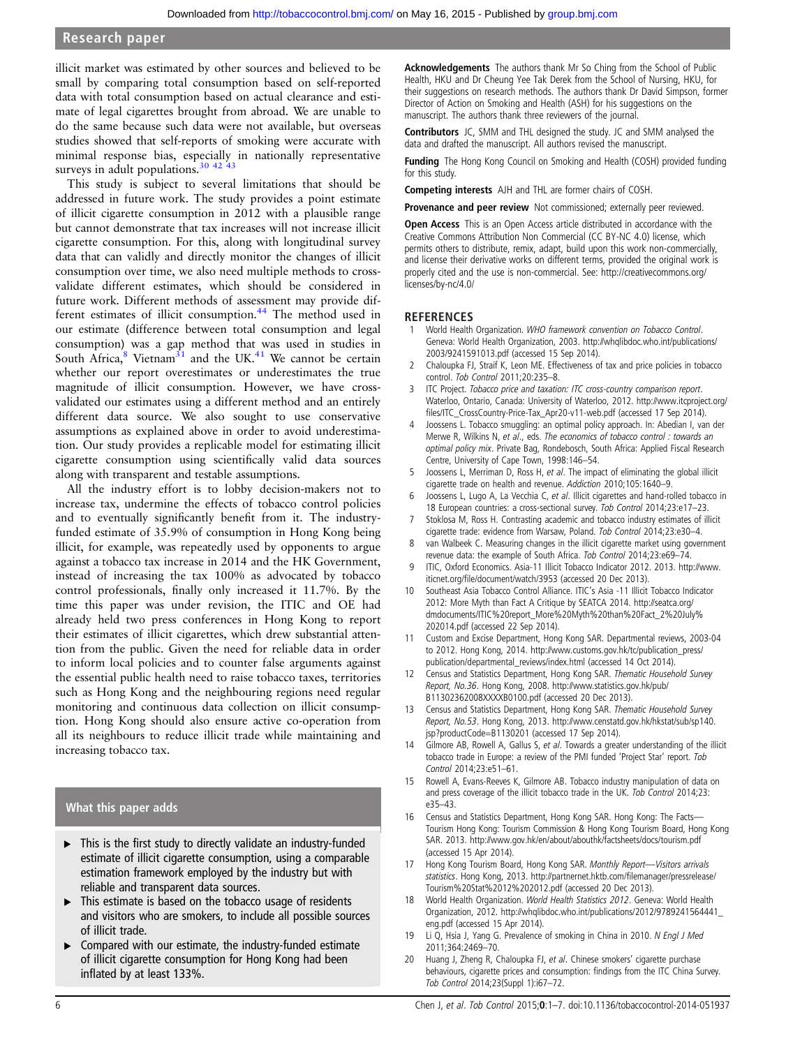# <span id="page-5-0"></span>Research paper

illicit market was estimated by other sources and believed to be small by comparing total consumption based on self-reported data with total consumption based on actual clearance and estimate of legal cigarettes brought from abroad. We are unable to do the same because such data were not available, but overseas studies showed that self-reports of smoking were accurate with minimal response bias, especially in nationally representative surveys in adult populations. $30$  42 43

This study is subject to several limitations that should be addressed in future work. The study provides a point estimate of illicit cigarette consumption in 2012 with a plausible range but cannot demonstrate that tax increases will not increase illicit cigarette consumption. For this, along with longitudinal survey data that can validly and directly monitor the changes of illicit consumption over time, we also need multiple methods to crossvalidate different estimates, which should be considered in future work. Different methods of assessment may provide dif-ferent estimates of illicit consumption.<sup>[44](#page-6-0)</sup> The method used in our estimate (difference between total consumption and legal consumption) was a gap method that was used in studies in South Africa, $8$  Vietnam<sup>[31](#page-6-0)</sup> and the UK.<sup>[41](#page-6-0)</sup> We cannot be certain whether our report overestimates or underestimates the true magnitude of illicit consumption. However, we have crossvalidated our estimates using a different method and an entirely different data source. We also sought to use conservative assumptions as explained above in order to avoid underestimation. Our study provides a replicable model for estimating illicit cigarette consumption using scientifically valid data sources along with transparent and testable assumptions.

All the industry effort is to lobby decision-makers not to increase tax, undermine the effects of tobacco control policies and to eventually significantly benefit from it. The industryfunded estimate of 35.9% of consumption in Hong Kong being illicit, for example, was repeatedly used by opponents to argue against a tobacco tax increase in 2014 and the HK Government, instead of increasing the tax 100% as advocated by tobacco control professionals, finally only increased it 11.7%. By the time this paper was under revision, the ITIC and OE had already held two press conferences in Hong Kong to report their estimates of illicit cigarettes, which drew substantial attention from the public. Given the need for reliable data in order to inform local policies and to counter false arguments against the essential public health need to raise tobacco taxes, territories such as Hong Kong and the neighbouring regions need regular monitoring and continuous data collection on illicit consumption. Hong Kong should also ensure active co-operation from all its neighbours to reduce illicit trade while maintaining and increasing tobacco tax.

# What this paper adds

- ▸ This is the first study to directly validate an industry-funded estimate of illicit cigarette consumption, using a comparable estimation framework employed by the industry but with reliable and transparent data sources.
- ▸ This estimate is based on the tobacco usage of residents and visitors who are smokers, to include all possible sources of illicit trade.
- Compared with our estimate, the industry-funded estimate of illicit cigarette consumption for Hong Kong had been inflated by at least 133%.

Acknowledgements The authors thank Mr So Ching from the School of Public Health, HKU and Dr Cheung Yee Tak Derek from the School of Nursing, HKU, for their suggestions on research methods. The authors thank Dr David Simpson, former Director of Action on Smoking and Health (ASH) for his suggestions on the manuscript. The authors thank three reviewers of the journal.

Contributors JC, SMM and THL designed the study. JC and SMM analysed the data and drafted the manuscript. All authors revised the manuscript.

Funding The Hong Kong Council on Smoking and Health (COSH) provided funding for this study.

Competing interests AJH and THL are former chairs of COSH.

Provenance and peer review Not commissioned; externally peer reviewed.

Open Access This is an Open Access article distributed in accordance with the Creative Commons Attribution Non Commercial (CC BY-NC 4.0) license, which permits others to distribute, remix, adapt, build upon this work non-commercially, and license their derivative works on different terms, provided the original work is properly cited and the use is non-commercial. See: http://creativecommons.org/ licenses/by-nc/4.0/

# **REFERENCES**

- 1 World Health Organization. WHO framework convention on Tobacco Control. Geneva: World Health Organization, 2003. [http://whqlibdoc.who.int/publications/](http://whqlibdoc.who.int/publications/2003/9241591013.pdf) [2003/9241591013.pdf](http://whqlibdoc.who.int/publications/2003/9241591013.pdf) (accessed 15 Sep 2014).
- 2 Chaloupka FJ, Straif K, Leon ME. Effectiveness of tax and price policies in tobacco control. Tob Control 2011;20:235–8.
- 3 ITC Project. Tobacco price and taxation: ITC cross-country comparison report. Waterloo, Ontario, Canada: University of Waterloo, 2012. [http://www.itcproject.org/](http://www.itcproject.org/files/ITC_CrossCountry-Price-Tax_Apr20-v11-web.pdf) fi[les/ITC\\_CrossCountry-Price-Tax\\_Apr20-v11-web.pdf](http://www.itcproject.org/files/ITC_CrossCountry-Price-Tax_Apr20-v11-web.pdf) (accessed 17 Sep 2014).
- 4 Joossens L. Tobacco smuggling: an optimal policy approach. In: Abedian I, van der Merwe R, Wilkins N, et al., eds. The economics of tobacco control : towards an optimal policy mix. Private Bag, Rondebosch, South Africa: Applied Fiscal Research Centre, University of Cape Town, 1998:146–54.
- 5 Joossens L, Merriman D, Ross H, et al. The impact of eliminating the global illicit cigarette trade on health and revenue. Addiction 2010;105:1640–9.
- Joossens L, Lugo A, La Vecchia C, et al. Illicit cigarettes and hand-rolled tobacco in 18 European countries: a cross-sectional survey. Tob Control 2014;23:e17–23.
- 7 Stoklosa M, Ross H. Contrasting academic and tobacco industry estimates of illicit cigarette trade: evidence from Warsaw, Poland. Tob Control 2014;23:e30–4.
- 8 van Walbeek C. Measuring changes in the illicit cigarette market using government revenue data: the example of South Africa. Tob Control 2014;23:e69–74.
- 9 ITIC, Oxford Economics. Asia-11 Illicit Tobacco Indicator 2012. 2013. [http://www.](http://www.iticnet.org/file/document/watch/3953) iticnet.org/fi[le/document/watch/3953](http://www.iticnet.org/file/document/watch/3953) (accessed 20 Dec 2013).
- 10 Southeast Asia Tobacco Control Alliance. ITIC's Asia -11 Illicit Tobacco Indicator 2012: More Myth than Fact A Critique by SEATCA 2014. [http://seatca.org/](http://seatca.org/dmdocuments/ITIC%20report_More%20Myth%20than%20Fact_2%20July%202014.pdf) [dmdocuments/ITIC%20report\\_More%20Myth%20than%20Fact\\_2%20July%](http://seatca.org/dmdocuments/ITIC%20report_More%20Myth%20than%20Fact_2%20July%202014.pdf) [202014.pdf](http://seatca.org/dmdocuments/ITIC%20report_More%20Myth%20than%20Fact_2%20July%202014.pdf) (accessed 22 Sep 2014).
- 11 Custom and Excise Department, Hong Kong SAR. Departmental reviews, 2003-04 to 2012. Hong Kong, 2014. [http://www.customs.gov.hk/tc/publication\\_press/](http://www.customs.gov.hk/tc/publication_press/publication/departmental_reviews/index.html) [publication/departmental\\_reviews/index.html](http://www.customs.gov.hk/tc/publication_press/publication/departmental_reviews/index.html) (accessed 14 Oct 2014).
- 12 Census and Statistics Department, Hong Kong SAR. Thematic Household Survey Report, No.36. Hong Kong, 2008. [http://www.statistics.gov.hk/pub/](http://www.statistics.gov.hk/pub/B11302362008XXXXB0100.pdf) [B11302362008XXXXB0100.pdf](http://www.statistics.gov.hk/pub/B11302362008XXXXB0100.pdf) (accessed 20 Dec 2013).
- 13 Census and Statistics Department, Hong Kong SAR. Thematic Household Survey Report, No.53. Hong Kong, 2013. [http://www.censtatd.gov.hk/hkstat/sub/sp140.](http://www.censtatd.gov.hk/hkstat/sub/sp140.jsp?productCode=B1130201) [jsp?productCode=B1130201](http://www.censtatd.gov.hk/hkstat/sub/sp140.jsp?productCode=B1130201) (accessed 17 Sep 2014).
- 14 Gilmore AB, Rowell A, Gallus S, et al. Towards a greater understanding of the illicit tobacco trade in Europe: a review of the PMI funded 'Project Star' report. Tob Control 2014;23:e51–61.
- 15 Rowell A, Evans-Reeves K, Gilmore AB. Tobacco industry manipulation of data on and press coverage of the illicit tobacco trade in the UK. Tob Control 2014;23: e35–43.
- 16 Census and Statistics Department, Hong Kong SAR. Hong Kong: The Facts— Tourism Hong Kong: Tourism Commission & Hong Kong Tourism Board, Hong Kong SAR. 2013.<http://www.gov.hk/en/about/abouthk/factsheets/docs/tourism.pdf> (accessed 15 Apr 2014).
- 17 Hong Kong Tourism Board, Hong Kong SAR. Monthly Report-Visitors arrivals statistics. Hong Kong, 2013. [http://partnernet.hktb.com/](http://partnernet.hktb.com/filemanager/pressrelease/Tourism%20Stat%2012%202012.pdf)filemanager/pressrelease/ [Tourism%20Stat%2012%202012.pdf](http://partnernet.hktb.com/filemanager/pressrelease/Tourism%20Stat%2012%202012.pdf) (accessed 20 Dec 2013).
- World Health Organization. World Health Statistics 2012. Geneva: World Health Organization, 2012. [http://whqlibdoc.who.int/publications/2012/9789241564441\\_](http://whqlibdoc.who.int/publications/2012/9789241564441_eng.pdf) [eng.pdf](http://whqlibdoc.who.int/publications/2012/9789241564441_eng.pdf) (accessed 15 Apr 2014).
- 19 Li Q, Hsia J, Yang G. Prevalence of smoking in China in 2010. N Engl J Med 2011;364:2469–70.
- 20 Huang J, Zheng R, Chaloupka FJ, et al. Chinese smokers' cigarette purchase behaviours, cigarette prices and consumption: findings from the ITC China Survey. Tob Control 2014;23(Suppl 1):i67–72.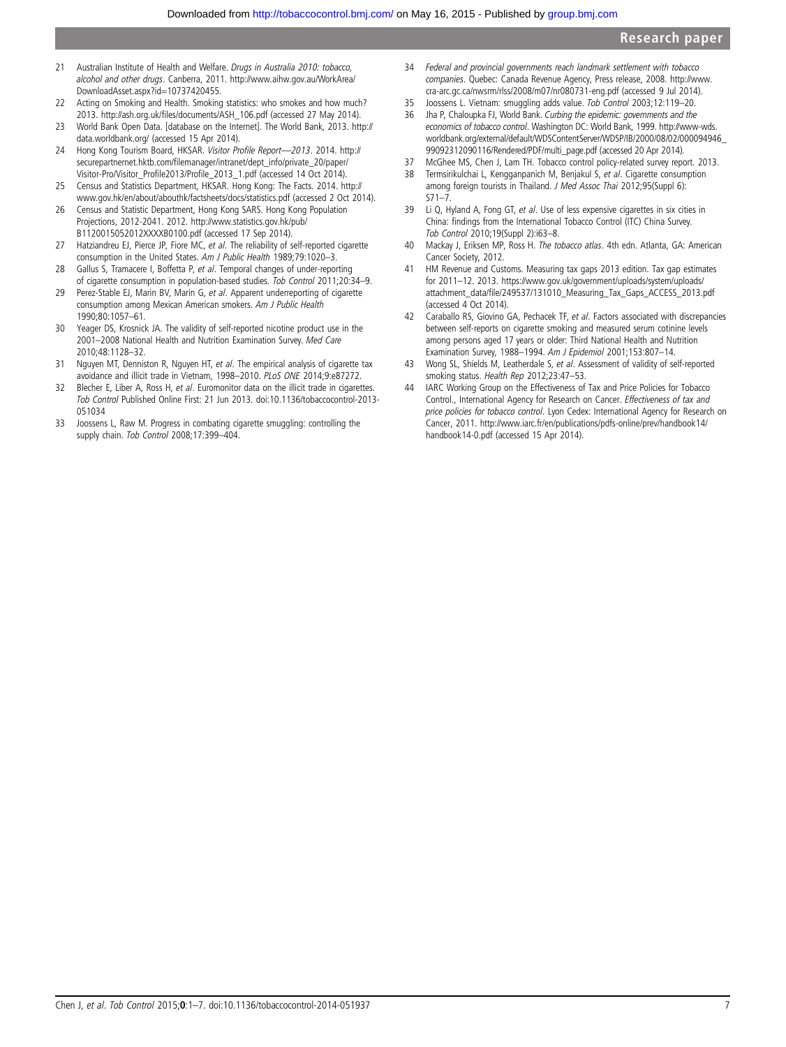- <span id="page-6-0"></span>21 Australian Institute of Health and Welfare. Drugs in Australia 2010: tobacco, alcohol and other drugs. Canberra, 2011. [http://www.aihw.gov.au/WorkArea/](http://www.aihw.gov.au/WorkArea/DownloadAsset.aspx?id=10737420455) [DownloadAsset.aspx?id=10737420455](http://www.aihw.gov.au/WorkArea/DownloadAsset.aspx?id=10737420455).
- 22 Acting on Smoking and Health. Smoking statistics: who smokes and how much? 2013. [http:/](http://ash.org.uk/files/documents/ASH_106.pdf)/ash.org.uk/fi[les/documents/ASH\\_106.pdf](http://ash.org.uk/files/documents/ASH_106.pdf) (accessed 27 May 2014).
- 23 World Bank Open Data. [database on the Internet]. The World Bank, 2013. [http://](http://data.worldbank.org/) [data.worldbank.org/](http://data.worldbank.org/) (accessed 15 Apr 2014).
- 24 Hong Kong Tourism Board, HKSAR. Visitor Profile Report—2013. 2014. [http://](http://securepartnernet.hktb.com/filemanager/intranet/dept_info/private_20/paper/Visitor-Pro/Visitor_Profile2013/Profile_2013_1.pdf) securepartnernet.hktb.com/fi[lemanager/intranet/dept\\_info/private\\_20/paper/](http://securepartnernet.hktb.com/filemanager/intranet/dept_info/private_20/paper/Visitor-Pro/Visitor_Profile2013/Profile_2013_1.pdf) [Visitor-Pro/Visitor\\_Pro](http://securepartnernet.hktb.com/filemanager/intranet/dept_info/private_20/paper/Visitor-Pro/Visitor_Profile2013/Profile_2013_1.pdf)file2013/Profile\_2013\_1.pdf (accessed 14 Oct 2014).
- 25 Census and Statistics Department, HKSAR. Hong Kong: The Facts. 2014. [http://](http://www.gov.hk/en/about/abouthk/factsheets/docs/statistics.pdf) [www.gov.hk/en/about/abouthk/factsheets/docs/statistics.pdf](http://www.gov.hk/en/about/abouthk/factsheets/docs/statistics.pdf) (accessed 2 Oct 2014).
- 26 Census and Statistic Department, Hong Kong SARS. Hong Kong Population Projections, 2012-2041. 2012. [http://www.statistics.gov.hk/pub/](http://www.statistics.gov.hk/pub/B1120015052012XXXXB0100.pdf) [B1120015052012XXXXB0100.pdf](http://www.statistics.gov.hk/pub/B1120015052012XXXXB0100.pdf) (accessed 17 Sep 2014).
- 27 Hatziandreu EJ, Pierce JP, Fiore MC, et al. The reliability of self-reported cigarette consumption in the United States. Am J Public Health 1989;79:1020–3.
- 28 Gallus S, Tramacere I, Boffetta P, et al. Temporal changes of under-reporting of cigarette consumption in population-based studies. Tob Control 2011;20:34–9.
- 29 Perez-Stable EJ, Marin BV, Marin G, et al. Apparent underreporting of cigarette consumption among Mexican American smokers. Am J Public Health 1990;80:1057–61.
- 30 Yeager DS, Krosnick JA. The validity of self-reported nicotine product use in the 2001–2008 National Health and Nutrition Examination Survey. Med Care 2010;48:1128–32.
- 31 Nguyen MT, Denniston R, Nguyen HT, et al. The empirical analysis of cigarette tax avoidance and illicit trade in Vietnam, 1998–2010. PLoS ONE 2014;9:e87272.
- 32 Blecher E, Liber A, Ross H, et al. Euromonitor data on the illicit trade in cigarettes. Tob Control Published Online First: 21 Jun 2013. doi:10.1136/tobaccocontrol-2013- 051034
- 33 Joossens L, Raw M. Progress in combating cigarette smuggling: controlling the supply chain. Tob Control 2008;17:399-404.
- 34 Federal and provincial governments reach landmark settlement with tobacco companies. Quebec: Canada Revenue Agency, Press release, 2008. [http://www.](http://www.cra-arc.gc.ca/nwsrm/rlss/2008/m07/nr080731-eng.pdf) [cra-arc.gc.ca/nwsrm/rlss/2008/m07/nr080731-eng.pdf](http://www.cra-arc.gc.ca/nwsrm/rlss/2008/m07/nr080731-eng.pdf) (accessed 9 Jul 2014).
- 35 Joossens L. Vietnam: smuggling adds value. Tob Control 2003;12:119–20. 36 Jha P, Chaloupka FJ, World Bank. Curbing the epidemic: governments and the economics of tobacco control. Washington DC: World Bank, 1999. [http://www-wds.](http://www-wds.worldbank.org/external/default/WDSContentServer/WDSP/IB/2000/08/02/000094946_99092312090116/Rendered/PDF/multi_page.pdf) [worldbank.org/external/default/WDSContentServer/WDSP/IB/2000/08/02/000094946\\_](http://www-wds.worldbank.org/external/default/WDSContentServer/WDSP/IB/2000/08/02/000094946_99092312090116/Rendered/PDF/multi_page.pdf)
- [99092312090116/Rendered/PDF/multi\\_page.pdf](http://www-wds.worldbank.org/external/default/WDSContentServer/WDSP/IB/2000/08/02/000094946_99092312090116/Rendered/PDF/multi_page.pdf) (accessed 20 Apr 2014).
- 37 McGhee MS, Chen J, Lam TH. Tobacco control policy-related survey report. 2013. Termsirikulchai L, Kengganpanich M, Benjakul S, et al. Cigarette consumption
- among foreign tourists in Thailand. J Med Assoc Thai 2012;95(Suppl 6):  $571 - 7.$
- 39 Li Q, Hyland A, Fong GT, et al. Use of less expensive cigarettes in six cities in China: findings from the International Tobacco Control (ITC) China Survey. Tob Control 2010;19(Suppl 2):i63–8.
- 40 Mackay J, Eriksen MP, Ross H. The tobacco atlas. 4th edn. Atlanta, GA: American Cancer Society, 2012.
- 41 HM Revenue and Customs. Measuring tax gaps 2013 edition. Tax gap estimates for 2011–12. 2013. [https://www.gov.uk/government/uploads/system/uploads/](https://www.gov.uk/government/uploads/system/uploads/attachment_data/file/249537/131010_Measuring_Tax_Gaps_ACCESS_2013.pdf) attachment\_data/fi[le/249537/131010\\_Measuring\\_Tax\\_Gaps\\_ACCESS\\_2013.pdf](https://www.gov.uk/government/uploads/system/uploads/attachment_data/file/249537/131010_Measuring_Tax_Gaps_ACCESS_2013.pdf) (accessed 4 Oct 2014).
- 42 Caraballo RS, Giovino GA, Pechacek TF, et al. Factors associated with discrepancies between self-reports on cigarette smoking and measured serum cotinine levels among persons aged 17 years or older: Third National Health and Nutrition Examination Survey, 1988–1994. Am J Epidemiol 2001;153:807–14.
- 43 Wong SL, Shields M, Leatherdale S, et al. Assessment of validity of self-reported smoking status. Health Rep 2012;23:47–53.
- 44 IARC Working Group on the Effectiveness of Tax and Price Policies for Tobacco Control., International Agency for Research on Cancer. Effectiveness of tax and price policies for tobacco control. Lyon Cedex: International Agency for Research on Cancer, 2011. [http://www.iarc.fr/en/publications/pdfs-online/prev/handbook14/](http://www.iarc.fr/en/publications/pdfs-online/prev/handbook14/handbook14-0.pdf) [handbook14-0.pdf](http://www.iarc.fr/en/publications/pdfs-online/prev/handbook14/handbook14-0.pdf) (accessed 15 Apr 2014).